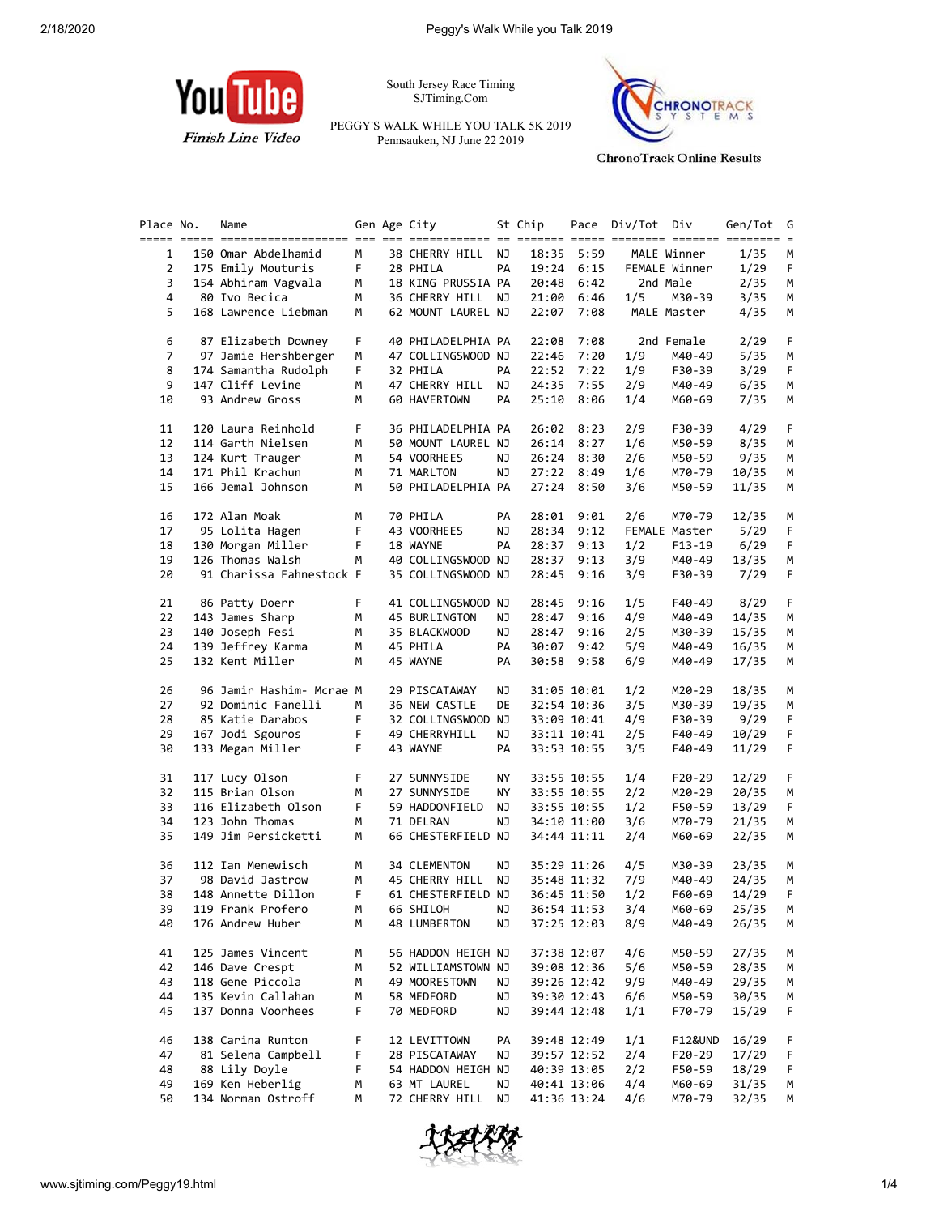

South Jersey Race Timing SJTiming.Com

PEGGY'S WALK WHILE YOU TALK 5K 2019 Pennsauken, NJ June 22 2019



**ChronoTrack Online Results** 

| Place No.      | Name                     |    | Gen Age City       |    | St Chip |             | Pace Div/Tot Div |               | Gen/Tot | G  |
|----------------|--------------------------|----|--------------------|----|---------|-------------|------------------|---------------|---------|----|
|                |                          |    |                    |    |         |             |                  |               |         |    |
| $\mathbf{1}$   | 150 Omar Abdelhamid      | М  | 38 CHERRY HILL NJ  |    |         | 18:35 5:59  |                  | MALE Winner   | 1/35    | м  |
| $\overline{2}$ | 175 Emily Mouturis       | F. | 28 PHILA           | PA |         | 19:24 6:15  |                  | FEMALE Winner | 1/29    | F  |
| 3              | 154 Abhiram Vagvala      | M  | 18 KING PRUSSIA PA |    | 20:48   | 6:42        | 2nd Male         |               | 2/35    | М  |
| 4              | 80 Ivo Becica            | M  |                    |    |         |             |                  |               |         |    |
|                |                          |    | 36 CHERRY HILL NJ  |    |         | 21:00 6:46  | 1/5              | M30-39        | 3/35    | М  |
| 5              | 168 Lawrence Liebman     | M  | 62 MOUNT LAUREL NJ |    |         | 22:07 7:08  |                  | MALE Master   | 4/35    | М  |
|                |                          |    |                    |    |         |             |                  |               |         |    |
| 6              | 87 Elizabeth Downey      | F. | 40 PHILADELPHIA PA |    | 22:08   | 7:08        |                  | 2nd Female    | 2/29    | F. |
| $\overline{7}$ | 97 Jamie Hershberger     | М  | 47 COLLINGSWOOD NJ |    | 22:46   | 7:20        | 1/9              | M40-49        | 5/35    | М  |
| 8              | 174 Samantha Rudolph     | F. | 32 PHILA           | PA |         | 22:52 7:22  | 1/9              | F30-39        | 3/29    | F. |
| 9              | 147 Cliff Levine         | М  | 47 CHERRY HILL NJ  |    |         | 24:35 7:55  | 2/9              | M40-49        | 6/35    | М  |
| 10             | 93 Andrew Gross          | М  | 60 HAVERTOWN       | PA |         | 25:10 8:06  | 1/4              | M60-69        | 7/35    | М  |
|                |                          |    |                    |    |         |             |                  |               |         |    |
| 11             | 120 Laura Reinhold       | F. | 36 PHILADELPHIA PA |    | 26:02   | 8:23        | 2/9              | F30-39        | 4/29    | F. |
|                |                          |    |                    |    |         |             |                  |               |         |    |
| 12             | 114 Garth Nielsen        | М  | 50 MOUNT LAUREL NJ |    |         | 26:14 8:27  | 1/6              | M50-59        | 8/35    | М  |
| 13             | 124 Kurt Trauger         | M  | 54 VOORHEES        | ΝJ |         | 26:24 8:30  | 2/6              | M50-59        | 9/35    | М  |
| 14             | 171 Phil Krachun         | М  | 71 MARLTON         | ΝJ |         | 27:22 8:49  | 1/6              | M70-79        | 10/35   | М  |
| 15             | 166 Jemal Johnson        | М  | 50 PHILADELPHIA PA |    |         | 27:24 8:50  | 3/6              | M50-59        | 11/35   | М  |
|                |                          |    |                    |    |         |             |                  |               |         |    |
| 16             | 172 Alan Moak            | М  | 70 PHILA           | PA | 28:01   | 9:01        | 2/6              | M70-79        | 12/35   | М  |
| 17             | 95 Lolita Hagen          | F  | 43 VOORHEES        | ΝJ | 28:34   | 9:12        |                  | FEMALE Master | 5/29    | F  |
| 18             | 130 Morgan Miller        | F. | 18 WAYNE           | PA |         | 28:37 9:13  | 1/2              | $F13 - 19$    | 6/29    | F. |
| 19             | 126 Thomas Walsh         | M  | 40 COLLINGSWOOD NJ |    |         | 28:37 9:13  | 3/9              | M40-49        | 13/35   | М  |
| 20             | 91 Charissa Fahnestock F |    | 35 COLLINGSWOOD NJ |    | 28:45   | 9:16        | 3/9              | F30-39        | 7/29    | F. |
|                |                          |    |                    |    |         |             |                  |               |         |    |
| 21             | 86 Patty Doerr           | F. | 41 COLLINGSWOOD NJ |    | 28:45   | 9:16        | 1/5              | F40-49        | 8/29    | F. |
| 22             | 143 James Sharp          | М  | 45 BURLINGTON      | ΝJ |         |             | 4/9              |               |         | М  |
|                |                          |    |                    |    | 28:47   | 9:16        |                  | M40-49        | 14/35   |    |
| 23             | 140 Joseph Fesi          | М  | 35 BLACKWOOD       | ΝJ | 28:47   | 9:16        | 2/5              | M30-39        | 15/35   | М  |
| 24             | 139 Jeffrey Karma        | M  | 45 PHILA           | PA |         | 30:07 9:42  | 5/9              | M40-49        | 16/35   | М  |
| 25             | 132 Kent Miller          | м  | 45 WAYNE           | PA |         | 30:58 9:58  | 6/9              | M40-49        | 17/35   | М  |
|                |                          |    |                    |    |         |             |                  |               |         |    |
| 26             | 96 Jamir Hashim- Mcrae M |    | 29 PISCATAWAY      | ΝJ |         | 31:05 10:01 | 1/2              | M20-29        | 18/35   | М  |
| 27             | 92 Dominic Fanelli       | M  | 36 NEW CASTLE      | DE |         | 32:54 10:36 | 3/5              | M30-39        | 19/35   | М  |
| 28             | 85 Katie Darabos         | F. | 32 COLLINGSWOOD NJ |    |         | 33:09 10:41 | 4/9              | F30-39        | 9/29    | F. |
| 29             | 167 Jodi Sgouros         | F. | 49 CHERRYHILL      | ΝJ |         | 33:11 10:41 | 2/5              | F40-49        | 10/29   | F. |
| 30             | 133 Megan Miller         | F. | 43 WAYNE           | PA |         | 33:53 10:55 | 3/5              | F40-49        | 11/29   | F  |
|                |                          |    |                    |    |         |             |                  |               |         |    |
| 31             | 117 Lucy Olson           | F. | 27 SUNNYSIDE       | ΝY |         | 33:55 10:55 | 1/4              | F20-29        | 12/29   | F. |
| 32             | 115 Brian Olson          | М  | 27 SUNNYSIDE       | ΝY |         | 33:55 10:55 | 2/2              | M20-29        | 20/35   | М  |
| 33             | 116 Elizabeth Olson      | F  | 59 HADDONFIELD     | NJ |         | 33:55 10:55 | 1/2              | F50-59        | 13/29   | F. |
| 34             | 123 John Thomas          |    | 71 DELRAN          | ΝJ |         |             |                  | M70-79        |         |    |
|                |                          | М  |                    |    |         | 34:10 11:00 | 3/6              |               | 21/35   | М  |
| 35             | 149 Jim Persicketti      | M  | 66 CHESTERFIELD NJ |    |         | 34:44 11:11 | 2/4              | M60-69        | 22/35   | М  |
|                |                          |    |                    |    |         |             |                  |               |         |    |
| 36             | 112 Ian Menewisch        | м  | 34 CLEMENTON       | ΝJ |         | 35:29 11:26 | 4/5              | M30-39        | 23/35   | М  |
| 37             | 98 David Jastrow         | М  | 45 CHERRY HILL NJ  |    |         | 35:48 11:32 | 7/9              | M40-49        | 24/35   | М  |
| 38             | 148 Annette Dillon       | F. | 61 CHESTERFIELD NJ |    |         | 36:45 11:50 | 1/2              | F60-69        | 14/29   | F  |
| 39             | 119 Frank Profero        | M  | 66 SHILOH NJ       |    |         | 36:54 11:53 | 3/4              | M60-69        | 25/35 M |    |
| 40             | 176 Andrew Huber         | М  | 48 LUMBERTON       | ΝJ |         | 37:25 12:03 | 8/9              | M40-49        | 26/35   | M  |
|                |                          |    |                    |    |         |             |                  |               |         |    |
| 41             | 125 James Vincent        | м  | 56 HADDON HEIGH NJ |    |         | 37:38 12:07 | 4/6              | M50-59        | 27/35   | М  |
| 42             | 146 Dave Crespt          | м  | 52 WILLIAMSTOWN NJ |    |         | 39:08 12:36 | 5/6              | M50-59        | 28/35   | М  |
| 43             | 118 Gene Piccola         | м  | 49 MOORESTOWN      | ΝJ |         | 39:26 12:42 | 9/9              | M40-49        | 29/35   | М  |
| 44             | 135 Kevin Callahan       | м  | 58 MEDFORD         | ΝJ |         | 39:30 12:43 | 6/6              | M50-59        | 30/35   | М  |
| 45             | 137 Donna Voorhees       | F  | 70 MEDFORD         | ΝJ |         | 39:44 12:48 | 1/1              | F70-79        | 15/29   | F. |
|                |                          |    |                    |    |         |             |                  |               |         |    |
| 46             | 138 Carina Runton        | F  | 12 LEVITTOWN       | PA |         | 39:48 12:49 | 1/1              | F12&UND       | 16/29   | F  |
| 47             | 81 Selena Campbell       | F  | 28 PISCATAWAY      | ΝJ |         | 39:57 12:52 | 2/4              | F20-29        | 17/29   | F  |
| 48             | 88 Lily Doyle            | F  | 54 HADDON HEIGH NJ |    |         | 40:39 13:05 | 2/2              | F50-59        | 18/29   |    |
|                |                          |    |                    |    |         |             |                  |               |         | F  |
| 49             | 169 Ken Heberlig         | м  | 63 MT LAUREL       | ΝJ |         | 40:41 13:06 | 4/4              | M60-69        | 31/35   | M  |
| 50             | 134 Norman Ostroff       | М  | 72 CHERRY HILL     | NJ |         | 41:36 13:24 | 4/6              | M70-79        | 32/35   | M  |

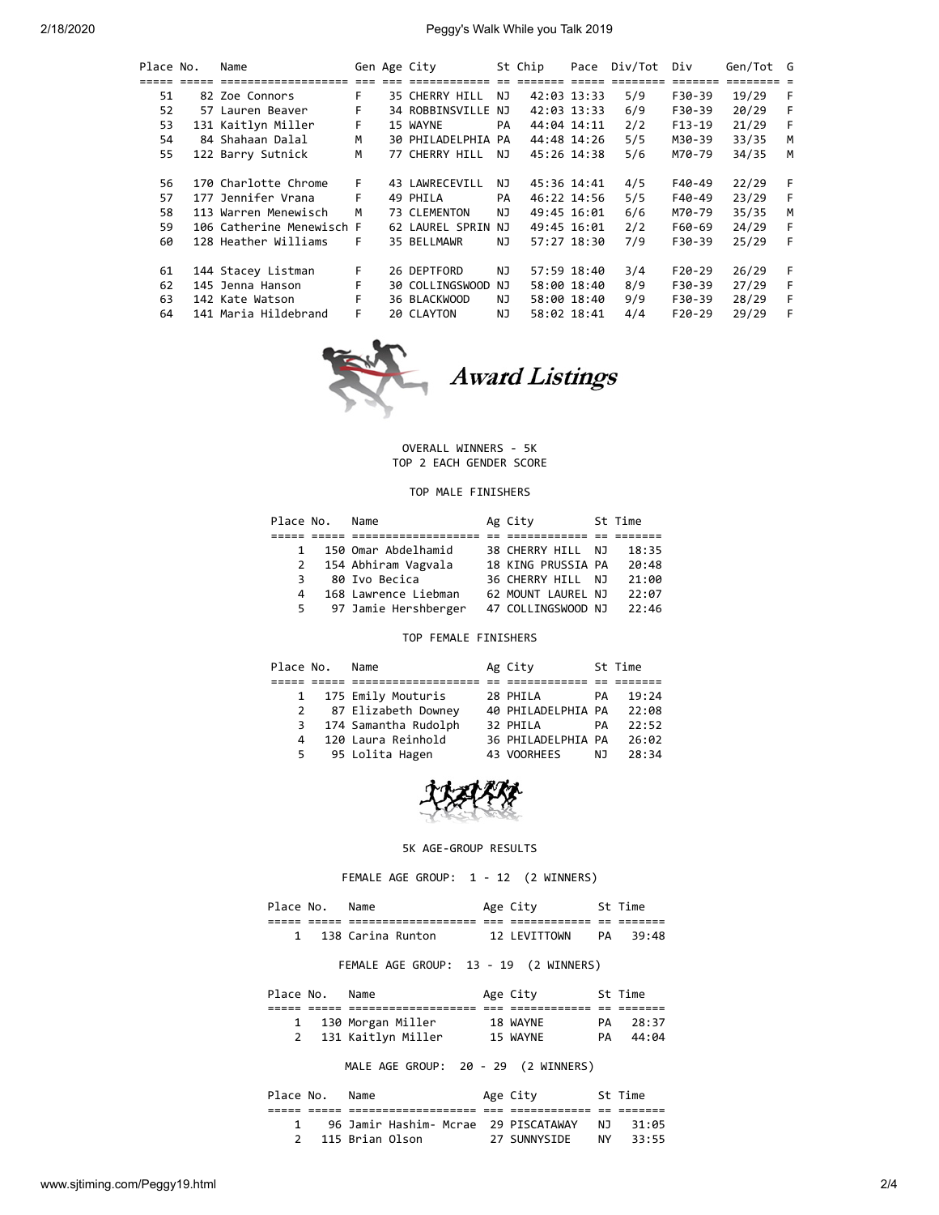| Place No. | Name                      | Gen Age City<br>St Chip |  | Pace               | Div/Tot | Div | Gen/Tot G   |     |          |       |    |
|-----------|---------------------------|-------------------------|--|--------------------|---------|-----|-------------|-----|----------|-------|----|
| =====     |                           |                         |  |                    |         |     |             |     | =======  |       |    |
| 51        | 82 Zoe Connors            | F.                      |  | 35 CHERRY HILL     | NJ      |     | 42:03 13:33 | 5/9 | F30-39   | 19/29 | -F |
| 52        | 57 Lauren Beaver          | F                       |  | 34 ROBBINSVILLE NJ |         |     | 42:03 13:33 | 6/9 | F30-39   | 20/29 | F  |
| 53        | 131 Kaitlyn Miller        | F.                      |  | 15 WAYNE           | PA      |     | 44:04 14:11 | 2/2 | $F13-19$ | 21/29 | F  |
| 54        | 84 Shahaan Dalal          | м                       |  | 30 PHILADELPHIA PA |         |     | 44:48 14:26 | 5/5 | M30-39   | 33/35 | M  |
| 55        | 122 Barry Sutnick         | M                       |  | 77 CHERRY HILL     | NJ      |     | 45:26 14:38 | 5/6 | M70-79   | 34/35 | м  |
|           |                           |                         |  |                    |         |     |             |     |          |       |    |
| 56        | 170 Charlotte Chrome      | F.                      |  | 43 LAWRECEVILL     | NJ      |     | 45:36 14:41 | 4/5 | F40-49   | 22/29 | F  |
| 57        | 177 Jennifer Vrana        | F.                      |  | 49 PHILA           | PA      |     | 46:22 14:56 | 5/5 | F40-49   | 23/29 | -F |
| 58        | 113 Warren Menewisch      | M                       |  | 73 CLEMENTON       | NJ      |     | 49:45 16:01 | 6/6 | M70-79   | 35/35 | M  |
| 59        | 106 Catherine Menewisch F |                         |  | 62 LAUREL SPRIN NJ |         |     | 49:45 16:01 | 2/2 | F60-69   | 24/29 | F  |
| 60        | 128 Heather Williams      | F.                      |  | 35 BELLMAWR        | NJ      |     | 57:27 18:30 | 7/9 | F30-39   | 25/29 | -F |
|           |                           |                         |  |                    |         |     |             |     |          |       |    |
| 61        | 144 Stacey Listman        | F.                      |  | 26 DEPTFORD        | NJ      |     | 57:59 18:40 | 3/4 | $F20-29$ | 26/29 | -F |
| 62        | 145 Jenna Hanson          | F.                      |  | 30 COLLINGSWOOD    | NJ      |     | 58:00 18:40 | 8/9 | F30-39   | 27/29 | -F |
| 63        | 142 Kate Watson           | F.                      |  | 36 BLACKWOOD       | ΝJ      |     | 58:00 18:40 | 9/9 | F30-39   | 28/29 | E  |
| 64        | 141 Maria Hildebrand      | F.                      |  | 20 CLAYTON         | NJ.     |     | 58:02 18:41 | 4/4 | $F20-29$ | 29/29 | F  |
|           |                           |                         |  |                    |         |     |             |     |          |       |    |



# OVERALL WINNERS - 5K

TOP 2 EACH GENDER SCORE

## TOP MALE FINISHERS

| Place No. | Name                 | Ag City            | St Time |
|-----------|----------------------|--------------------|---------|
|           |                      |                    |         |
| 1         | 150 Omar Abdelhamid  | 38 CHERRY HILL NJ  | 18:35   |
| 2         | 154 Abhiram Vagvala  | 18 KING PRUSSIA PA | 20:48   |
| 3         | 80 Ivo Becica        | 36 CHERRY HILL NJ  | 21:00   |
| 4         | 168 Lawrence Liebman | 62 MOUNT LAUREL NJ | 22:07   |
| 5         | 97 Jamie Hershberger | 47 COLLINGSWOOD NJ | 22:46   |

## TOP FEMALE FINISHERS

| Place No.    | Name                   | Ag City            |    | St Time |
|--------------|------------------------|--------------------|----|---------|
|              |                        |                    |    |         |
| $\mathbf{1}$ | 175 Emily Mouturis     | 28 PHILA           | PA | 19:24   |
|              | 2 87 Elizabeth Downey  | 40 PHILADELPHIA PA |    | 22:08   |
|              | 3 174 Samantha Rudolph | 32 PHILA           | PA | 22:52   |
| 4            | 120 Laura Reinhold     | 36 PHILADELPHIA PA |    | 26:02   |
|              | 5 95 Lolita Hagen      | 43 VOORHEES        | NJ | 28:34   |



#### 5K AGE-GROUP RESULTS

FEMALE AGE GROUP: 1 - 12 (2 WINNERS)

| Place No. | Name              | Age City     |    | St Time |
|-----------|-------------------|--------------|----|---------|
|           |                   |              | __ |         |
|           | 138 Carina Runton | 12 LEVITTOWN | PA | 39:48   |

## FEMALE AGE GROUP: 13 - 19 (2 WINNERS)

| Place No. | Name               | Age City |    | St Time |
|-----------|--------------------|----------|----|---------|
|           |                    |          |    |         |
|           | 130 Morgan Miller  | 18 WAYNE | PA | 28:37   |
|           | 131 Kaitlyn Miller | 15 WAYNE | PA | 44:04   |

# MALE AGE GROUP: 20 - 29 (2 WINNERS)

| Place No. | Name                                 | Age City     |     | St Time |
|-----------|--------------------------------------|--------------|-----|---------|
|           |                                      |              |     |         |
|           | 96 Jamir Hashim- Mcrae 29 PISCATAWAY |              | N T | 31:05   |
|           | 115 Brian Olson                      | 27 SUNNYSTDE | NY. | 33:55   |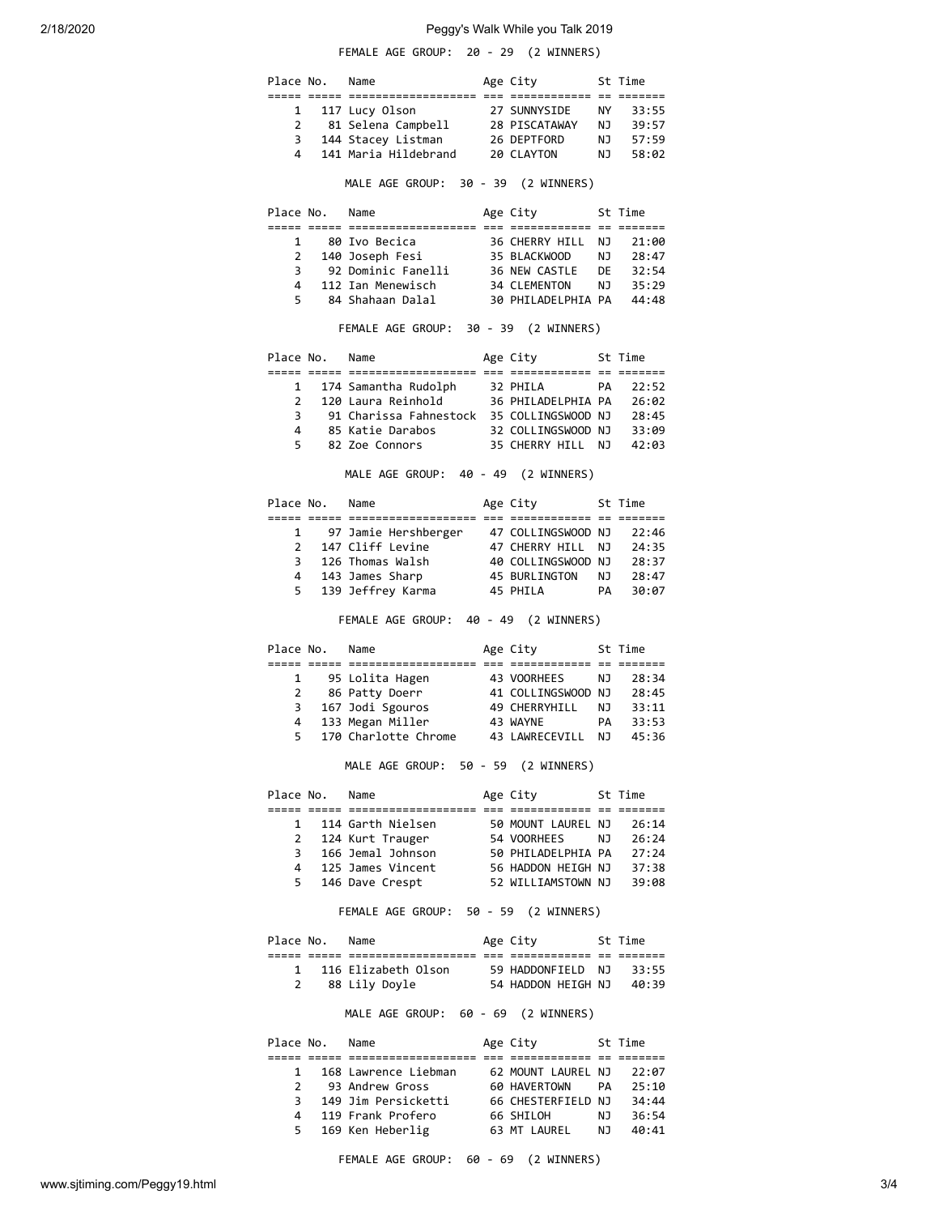# 2/18/2020 Peggy's Walk While you Talk 2019

|              |                                | FEMALE AGE GROUP: 20 - 29 (2 WINNERS)                                                                                                                                                  |                                                         |       |
|--------------|--------------------------------|----------------------------------------------------------------------------------------------------------------------------------------------------------------------------------------|---------------------------------------------------------|-------|
|              | Place No. Name                 |                                                                                                                                                                                        | Age City<br>St Time                                     |       |
|              |                                |                                                                                                                                                                                        |                                                         |       |
|              |                                | 1 117 Lucy Olson 27 SUNNYSIDE NY 33:55<br>2 81 Selena Campbell 28 PISCATAWAY NJ 39:57<br>3 144 Stacey Listman 26 DEPTFORD NJ 57:59<br>4 141 Maria Hildebrand 20 CLAYTON NJ 58:02       |                                                         |       |
|              |                                |                                                                                                                                                                                        |                                                         |       |
|              |                                |                                                                                                                                                                                        |                                                         |       |
|              |                                |                                                                                                                                                                                        |                                                         |       |
|              |                                | MALE AGE GROUP: 30 - 39 (2 WINNERS)                                                                                                                                                    |                                                         |       |
|              |                                | Place No. Name                                                                                                                                                                         | Age City 5t Time                                        |       |
|              |                                |                                                                                                                                                                                        |                                                         |       |
|              |                                | 1 80 Ivo Becica 36 CHERRY HILL NJ 21:00<br>2 140 Joseph Fesi 35 BLACKWOOD NJ 28:47<br>3 92 Dominic Fanelli 36 NEW CASTLE DE 32:54                                                      |                                                         |       |
|              |                                |                                                                                                                                                                                        |                                                         |       |
|              |                                |                                                                                                                                                                                        |                                                         |       |
|              |                                | 4 112 Ian Menewisch and S4 CLEMENTON NJ 35:29<br>5 84 Shahaan Dalal 30 PHILADELPHIA PA 44:48                                                                                           |                                                         |       |
|              |                                | FEMALE AGE GROUP: 30 - 39 (2 WINNERS)                                                                                                                                                  |                                                         |       |
|              |                                | Place No. Name                                                                                                                                                                         | Age City 5t Time                                        |       |
|              |                                |                                                                                                                                                                                        |                                                         |       |
|              |                                |                                                                                                                                                                                        |                                                         |       |
|              |                                | 1 174 Samantha Rudolph 12 PHILA 12 PA 22:52<br>2 120 Laura Reinhold 16 PHILADELPHIA PA 26:02                                                                                           |                                                         |       |
| 3            |                                |                                                                                                                                                                                        |                                                         |       |
| 4            |                                |                                                                                                                                                                                        |                                                         |       |
|              | $5^{\circ}$                    |                                                                                                                                                                                        |                                                         |       |
|              |                                | MALE AGE GROUP: 40 - 49 (2 WINNERS)                                                                                                                                                    |                                                         |       |
|              |                                | Place No. Name                                                                                                                                                                         | Age City     St Time                                    |       |
|              |                                |                                                                                                                                                                                        |                                                         |       |
|              |                                | 97 Jamie Hershberger 47 COLLINGSWOOD NJ 22:46<br>2 147 Cliff Levine 47 CHERRY HILL NJ 24:35<br>3 126 Thomas Walsh 40 COLLINGSWOOD NJ 28:37<br>4 143 James Sharp 45 BURLINGTON NJ 28:47 |                                                         |       |
|              |                                |                                                                                                                                                                                        |                                                         |       |
|              |                                |                                                                                                                                                                                        |                                                         |       |
|              |                                |                                                                                                                                                                                        |                                                         |       |
|              | 5 <sub>5</sub>                 | 139 Jeffrey Karma   45 PHILA   PA   30:07                                                                                                                                              |                                                         |       |
|              |                                | FEMALE AGE GROUP: 40 - 49 (2 WINNERS)                                                                                                                                                  |                                                         |       |
|              | Place No. Name                 |                                                                                                                                                                                        | Age City 5t Time                                        |       |
|              |                                |                                                                                                                                                                                        |                                                         |       |
|              |                                |                                                                                                                                                                                        |                                                         |       |
|              |                                | 95 Lolita Hagen 43 VOORHEES NJ 28:34<br>2 86 Patty Doerr 41 COLLINGSWOOD NJ 28:45<br>3 167 Jodi Sgouros 49 CHERRYHILL NJ 33:11<br>4 133 Megan Miller 43 WAYNE PA 33:53                 |                                                         |       |
|              |                                |                                                                                                                                                                                        |                                                         |       |
|              |                                |                                                                                                                                                                                        |                                                         |       |
|              |                                | 170 Charlotte Chrome 43 LAWRECEVILL NJ                                                                                                                                                 |                                                         | 45:36 |
|              |                                | MALE AGE GROUP: 50 - 59 (2 WINNERS)                                                                                                                                                    |                                                         |       |
|              |                                |                                                                                                                                                                                        |                                                         |       |
|              | Place No. Name                 |                                                                                                                                                                                        | Age City 5t Time                                        |       |
|              |                                | 1 114 Garth Nielsen<br>2 124 Kurt Trauger 154 VOORHEES 10 26:24<br>3 166 Jemal Johnson 150 PHILADELPHIA PA 27:24                                                                       |                                                         |       |
|              |                                |                                                                                                                                                                                        |                                                         |       |
|              |                                |                                                                                                                                                                                        |                                                         |       |
|              |                                | 4 125 James Vincent 56 HADDON HEIGH NJ 37:38                                                                                                                                           |                                                         |       |
|              |                                | 5 146 Dave Crespt                                                                                                                                                                      | 52 WILLIAMSTOWN NJ 39:08                                |       |
|              |                                | FEMALE AGE GROUP: 50 - 59 (2 WINNERS)                                                                                                                                                  |                                                         |       |
|              | Place No. Name                 |                                                                                                                                                                                        | Age City 5t Time                                        |       |
|              |                                |                                                                                                                                                                                        |                                                         |       |
|              |                                | 1 116 Elizabeth Olson 59 HADDONFIELD NJ 33:55                                                                                                                                          |                                                         |       |
|              | $2 \left( \frac{1}{2} \right)$ | 88 Lily Doyle                                                                                                                                                                          | 54 HADDON HEIGH NJ 40:39                                |       |
|              |                                | MALE AGE GROUP: 60 - 69 (2 WINNERS)                                                                                                                                                    |                                                         |       |
|              | Place No. Name                 |                                                                                                                                                                                        | Age City 5t Time                                        |       |
|              |                                |                                                                                                                                                                                        |                                                         |       |
|              |                                | 1 168 Lawrence Liebman 62 MOUNT LAUREL NJ 22:07                                                                                                                                        |                                                         |       |
| $\mathbf{2}$ |                                | 93 Andrew Gross                                                                                                                                                                        |                                                         |       |
|              |                                | 3 149 Jim Persicketti                                                                                                                                                                  | 60 HAVERTOWN    PA   25:10<br>66 CHESTERFIELD NJ  34:44 |       |
|              |                                |                                                                                                                                                                                        |                                                         |       |
|              |                                | 4 119 Frank Profero 66 SHILOH NJ 36:54<br>5 169 Ken Heberlig 63 MT LAUREL NJ 40:41                                                                                                     |                                                         |       |
|              |                                |                                                                                                                                                                                        |                                                         |       |

FEMALE AGE GROUP: 60 - 69 (2 WINNERS)